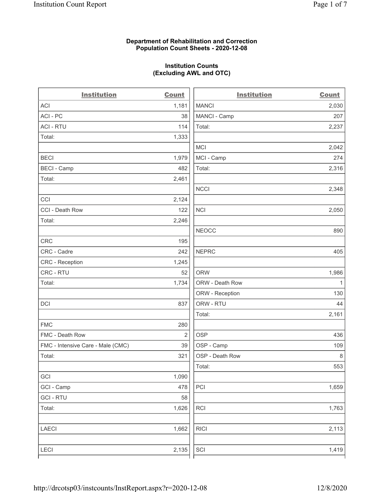# Department of Rehabilitation and Correction Population Count Sheets - 2020-12-08

# Institution Counts (Excluding AWL and OTC)

. .

| <b>Institution</b>                | <b>Count</b>   | <b>Institution</b> | <b>Count</b> |
|-----------------------------------|----------------|--------------------|--------------|
| <b>ACI</b>                        | 1,181          | <b>MANCI</b>       | 2,030        |
| ACI-PC                            | 38             | MANCI - Camp       | 207          |
| <b>ACI - RTU</b>                  | 114            | Total:             | 2,237        |
| Total:                            | 1,333          |                    |              |
|                                   |                | MCI                | 2,042        |
| <b>BECI</b>                       | 1,979          | MCI - Camp         | 274          |
| <b>BECI - Camp</b>                | 482            | Total:             | 2,316        |
| Total:                            | 2,461          |                    |              |
|                                   |                | <b>NCCI</b>        | 2,348        |
| CCI                               | 2,124          |                    |              |
| CCI - Death Row                   | 122            | <b>NCI</b>         | 2,050        |
| Total:                            | 2,246          |                    |              |
|                                   |                | <b>NEOCC</b>       | 890          |
| <b>CRC</b>                        | 195            |                    |              |
| CRC - Cadre                       | 242            | <b>NEPRC</b>       | 405          |
| <b>CRC</b> - Reception            | 1,245          |                    |              |
| CRC - RTU                         | 52             | <b>ORW</b>         | 1,986        |
| Total:                            | 1,734          | ORW - Death Row    | $\mathbf{1}$ |
|                                   |                | ORW - Reception    | 130          |
| DCI                               | 837            | ORW - RTU          | 44           |
|                                   |                | Total:             | 2,161        |
| <b>FMC</b>                        | 280            |                    |              |
| FMC - Death Row                   | $\overline{2}$ | <b>OSP</b>         | 436          |
| FMC - Intensive Care - Male (CMC) | 39             | OSP - Camp         | 109          |
| Total:                            | 321            | OSP - Death Row    | 8            |
|                                   |                | Total:             | 553          |
| GCI                               | 1,090          |                    |              |
| GCI - Camp                        | 478            | PCI                | 1,659        |
| <b>GCI - RTU</b>                  | 58             |                    |              |
| Total:                            | 1,626          | RCI                | 1,763        |
| <b>LAECI</b>                      | 1,662          | <b>RICI</b>        | 2,113        |
| <b>LECI</b>                       | 2,135          | SCI                | 1,419        |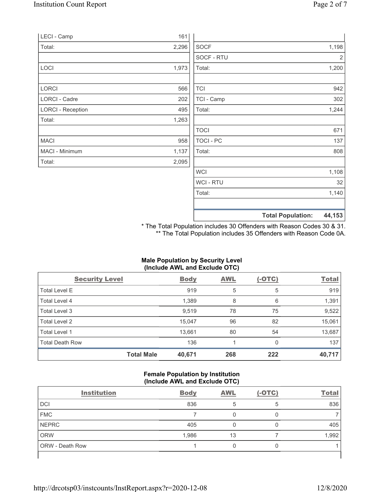| LECI - Camp              | 161   |             |                |
|--------------------------|-------|-------------|----------------|
| Total:                   | 2,296 | <b>SOCF</b> | 1,198          |
|                          |       | SOCF - RTU  | $\overline{2}$ |
| LOCI                     | 1,973 | Total:      | 1,200          |
|                          |       |             |                |
| LORCI                    | 566   | <b>TCI</b>  | 942            |
| LORCI - Cadre            | 202   | TCI - Camp  | 302            |
| <b>LORCI - Reception</b> | 495   | Total:      | 1,244          |
| Total:                   | 1,263 |             |                |
|                          |       | <b>TOCI</b> | 671            |
| <b>MACI</b>              | 958   | TOCI - PC   | 137            |
| MACI - Minimum           | 1,137 | Total:      | 808            |
| Total:                   | 2,095 |             |                |
|                          |       | <b>WCI</b>  | 1,108          |
|                          |       | WCI - RTU   | 32             |
|                          |       | Total:      | 1,140          |
|                          |       |             |                |

Total Population: 44,153

\* The Total Population includes 30 Offenders with Reason Codes 30 & 31. \*\* The Total Population includes 35 Offenders with Reason Code 0A.

# Male Population by Security Level (Include AWL and Exclude OTC)

| <b>Security Level</b>  |                   | <b>Body</b> | AWL | $(-OTC)$ | <b>Total</b> |
|------------------------|-------------------|-------------|-----|----------|--------------|
| <b>Total Level E</b>   |                   | 919         | 5   | 5        | 919          |
| Total Level 4          |                   | 1,389       | 8   | 6        | 1,391        |
| Total Level 3          |                   | 9,519       | 78  | 75       | 9,522        |
| Total Level 2          |                   | 15,047      | 96  | 82       | 15,061       |
| Total Level 1          |                   | 13,661      | 80  | 54       | 13,687       |
| <b>Total Death Row</b> |                   | 136         |     | 0        | 137          |
|                        | <b>Total Male</b> | 40,671      | 268 | 222      | 40,717       |

# Female Population by Institution (Include AWL and Exclude OTC)

| <b>Institution</b> | <b>Body</b> | <b>AWL</b> | $(-OTC)$ | <b>Total</b> |
|--------------------|-------------|------------|----------|--------------|
| <b>DCI</b>         | 836         |            |          | 836          |
| <b>FMC</b>         |             |            |          |              |
| <b>NEPRC</b>       | 405         |            |          | 405          |
| <b>ORW</b>         | 1,986       | 13         |          | 1,992        |
| ORW - Death Row    |             | 0          | U        |              |
|                    |             |            |          |              |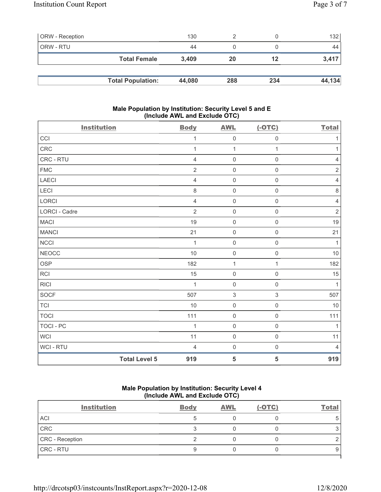| <b>ORW</b> - Reception |                          | 130    |     |     | 132    |
|------------------------|--------------------------|--------|-----|-----|--------|
| ORW - RTU              |                          | 44     |     |     | 44     |
|                        | <b>Total Female</b>      | 3.409  | 20  | 12  | 3,417  |
|                        |                          |        |     |     |        |
|                        | <b>Total Population:</b> | 44,080 | 288 | 234 | 44,134 |

# Male Population by Institution: Security Level 5 and E (Include AWL and Exclude OTC)

| <b>Institution</b> |                      | <b>Body</b>    | <b>AWL</b>          | $(-OTC)$            | <b>Total</b>   |
|--------------------|----------------------|----------------|---------------------|---------------------|----------------|
| CCI                |                      | 1              | $\mathsf{O}\xspace$ | $\mathsf{O}\xspace$ | $\mathbf{1}$   |
| <b>CRC</b>         |                      | 1              | $\mathbf{1}$        | $\mathbf{1}$        | $\mathbf{1}$   |
| CRC - RTU          |                      | $\overline{4}$ | $\mathsf 0$         | $\mathsf 0$         | $\sqrt{4}$     |
| <b>FMC</b>         |                      | $\overline{2}$ | $\mathsf 0$         | $\mathbf 0$         | $\sqrt{2}$     |
| <b>LAECI</b>       |                      | $\overline{4}$ | $\mathsf 0$         | $\mathbf 0$         | $\sqrt{4}$     |
| LECI               |                      | $\,8\,$        | $\mathsf{O}\xspace$ | $\mathbf 0$         | $\,8\,$        |
| LORCI              |                      | $\overline{4}$ | $\mathsf 0$         | $\mathsf 0$         | $\overline{4}$ |
| LORCI - Cadre      |                      | $\overline{2}$ | $\mathsf 0$         | $\mathsf 0$         | $\sqrt{2}$     |
| <b>MACI</b>        |                      | 19             | $\mathbf 0$         | $\mathbf 0$         | 19             |
| <b>MANCI</b>       |                      | 21             | $\mathsf 0$         | $\mathsf{O}\xspace$ | 21             |
| NCCI               |                      | $\mathbf{1}$   | $\mathsf{O}\xspace$ | $\mathsf{O}\xspace$ | $\mathbf{1}$   |
| NEOCC              |                      | 10             | $\mathbf 0$         | $\mathbf 0$         | 10             |
| <b>OSP</b>         |                      | 182            | $\mathbf{1}$        | $\mathbf{1}$        | 182            |
| <b>RCI</b>         |                      | 15             | $\mathbf 0$         | $\mathbf 0$         | 15             |
| <b>RICI</b>        |                      | $\mathbf{1}$   | $\mathbf 0$         | $\mathbf 0$         | $\mathbf{1}$   |
| <b>SOCF</b>        |                      | 507            | $\sqrt{3}$          | 3                   | 507            |
| <b>TCI</b>         |                      | 10             | $\mathbf 0$         | $\mathbf 0$         | 10             |
| <b>TOCI</b>        |                      | 111            | $\mathsf 0$         | $\mathsf 0$         | 111            |
| <b>TOCI - PC</b>   |                      | 1              | $\mathsf 0$         | $\mathsf 0$         | $\mathbf{1}$   |
| <b>WCI</b>         |                      | 11             | $\mathsf 0$         | $\mathbf 0$         | 11             |
| WCI - RTU          |                      | $\overline{4}$ | $\mathsf 0$         | $\mathsf 0$         | $\overline{4}$ |
|                    | <b>Total Level 5</b> | 919            | $5\phantom{.0}$     | 5                   | 919            |

# Male Population by Institution: Security Level 4 (Include AWL and Exclude OTC)

| <b>Institution</b> | <b>Body</b> | <b>AWL</b> | $(-OTC)$ | <b>Total</b> |
|--------------------|-------------|------------|----------|--------------|
| <b>ACI</b>         |             |            |          | 5            |
| CRC                |             |            |          |              |
| CRC - Reception    |             |            |          |              |
| <b>CRC - RTU</b>   |             |            |          | 9            |
|                    |             |            |          |              |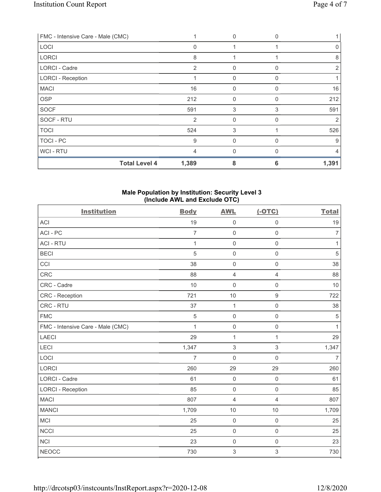| FMC - Intensive Care - Male (CMC) |                | $\mathbf{0}$ | $\Omega$ |       |
|-----------------------------------|----------------|--------------|----------|-------|
| LOCI                              | $\Omega$       |              |          | 0     |
| <b>LORCI</b>                      | 8              |              |          | 8     |
| <b>LORCI - Cadre</b>              | 2              | $\mathbf{0}$ | O        | 2     |
| <b>LORCI - Reception</b>          |                | $\mathbf 0$  | U        |       |
| <b>MACI</b>                       | 16             | $\mathbf{0}$ | 0        | 16    |
| <b>OSP</b>                        | 212            | $\mathbf{0}$ | 0        | 212   |
| <b>SOCF</b>                       | 591            | 3            | 3        | 591   |
| SOCF - RTU                        | $\overline{2}$ | $\mathbf 0$  | O        | 2     |
| <b>TOCI</b>                       | 524            | 3            |          | 526   |
| TOCI - PC                         | 9              | 0            |          | 9     |
| WCI - RTU                         | 4              | $\mathbf{0}$ | O        | 4     |
| <b>Total Level 4</b>              | 1,389          | 8            | 6        | 1,391 |

# Male Population by Institution: Security Level 3 (Include AWL and Exclude OTC)

| <b>Institution</b>                | <b>Body</b>    | <b>AWL</b>          | $(-OTC)$            | <b>Total</b>   |
|-----------------------------------|----------------|---------------------|---------------------|----------------|
| <b>ACI</b>                        | 19             | $\mathbf 0$         | $\mathsf 0$         | 19             |
| ACI-PC                            | $\overline{7}$ | $\mathsf 0$         | $\mathbf 0$         | $\overline{7}$ |
| <b>ACI - RTU</b>                  | 1              | $\mathsf 0$         | $\mathbf 0$         | 1              |
| <b>BECI</b>                       | $\sqrt{5}$     | $\mathsf 0$         | $\mathsf{O}\xspace$ | $\sqrt{5}$     |
| CCI                               | 38             | $\mathsf{O}\xspace$ | $\mathsf{O}\xspace$ | 38             |
| <b>CRC</b>                        | 88             | $\overline{4}$      | $\overline{4}$      | 88             |
| CRC - Cadre                       | 10             | $\mathsf{O}\xspace$ | $\mathsf{O}\xspace$ | 10             |
| <b>CRC</b> - Reception            | 721            | 10                  | $9\,$               | 722            |
| CRC - RTU                         | 37             | $\mathbf{1}$        | $\mathsf{O}\xspace$ | 38             |
| <b>FMC</b>                        | $\sqrt{5}$     | $\mathbf 0$         | $\mathsf 0$         | $\sqrt{5}$     |
| FMC - Intensive Care - Male (CMC) | $\mathbf{1}$   | $\mathsf 0$         | $\mathsf{O}\xspace$ | $\mathbf{1}$   |
| <b>LAECI</b>                      | 29             | $\mathbf{1}$        | 1                   | 29             |
| LECI                              | 1,347          | $\,$ 3 $\,$         | 3                   | 1,347          |
| LOCI                              | $\overline{7}$ | $\mathbf 0$         | $\mathsf 0$         | $\overline{7}$ |
| <b>LORCI</b>                      | 260            | 29                  | 29                  | 260            |
| <b>LORCI - Cadre</b>              | 61             | $\mathsf 0$         | $\mathsf{O}\xspace$ | 61             |
| <b>LORCI - Reception</b>          | 85             | $\mathbf 0$         | $\mathbf 0$         | 85             |
| <b>MACI</b>                       | 807            | $\overline{4}$      | $\overline{4}$      | 807            |
| <b>MANCI</b>                      | 1,709          | 10                  | 10                  | 1,709          |
| MCI                               | 25             | $\mathsf 0$         | $\mathsf{O}\xspace$ | 25             |
| <b>NCCI</b>                       | 25             | $\mathsf 0$         | $\mathsf{O}\xspace$ | 25             |
| <b>NCI</b>                        | 23             | $\mathsf{O}\xspace$ | $\mathsf 0$         | 23             |
| <b>NEOCC</b>                      | 730            | $\,$ 3 $\,$         | 3                   | 730            |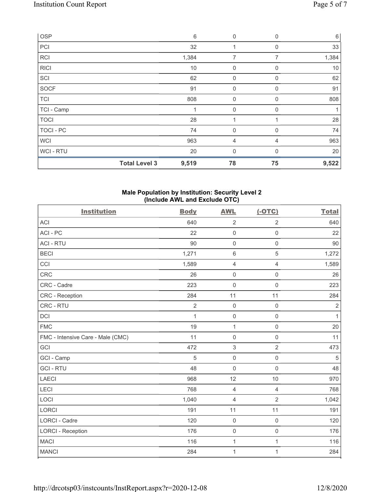| OSP         |                      | $\,6\,$ | $\mathbf 0$    | 0              | $6\,$ |
|-------------|----------------------|---------|----------------|----------------|-------|
| PCI         |                      | 32      |                | $\mathbf 0$    | 33    |
| <b>RCI</b>  |                      | 1,384   | $\overline{7}$ | $\overline{7}$ | 1,384 |
| <b>RICI</b> |                      | 10      | $\mathbf 0$    | 0              | 10    |
| SCI         |                      | 62      | $\mathbf 0$    | $\Omega$       | 62    |
| <b>SOCF</b> |                      | 91      | $\mathbf 0$    | 0              | 91    |
| <b>TCI</b>  |                      | 808     | $\mathbf 0$    | 0              | 808   |
| TCI - Camp  |                      |         | $\mathbf 0$    | $\Omega$       |       |
| <b>TOCI</b> |                      | 28      | и              |                | 28    |
| TOCI - PC   |                      | 74      | $\mathbf 0$    | 0              | 74    |
| <b>WCI</b>  |                      | 963     | $\overline{4}$ | 4              | 963   |
| WCI - RTU   |                      | 20      | $\mathbf 0$    | $\mathbf{0}$   | 20    |
|             | <b>Total Level 3</b> | 9,519   | 78             | 75             | 9,522 |

### Male Population by Institution: Security Level 2 (Include AWL and Exclude OTC)

| <b>Institution</b>                | <b>Body</b>    | <b>AWL</b>          | $(-OTC)$            | <b>Total</b>   |
|-----------------------------------|----------------|---------------------|---------------------|----------------|
| <b>ACI</b>                        | 640            | $\overline{2}$      | $\overline{2}$      | 640            |
| ACI-PC                            | 22             | $\mathbf 0$         | $\mathsf{O}\xspace$ | 22             |
| <b>ACI - RTU</b>                  | 90             | $\mathbf 0$         | $\mathbf 0$         | 90             |
| <b>BECI</b>                       | 1,271          | $6\,$               | 5                   | 1,272          |
| CCI                               | 1,589          | $\overline{4}$      | 4                   | 1,589          |
| <b>CRC</b>                        | 26             | $\mathbf 0$         | $\mathsf{O}\xspace$ | 26             |
| CRC - Cadre                       | 223            | $\mathsf{O}\xspace$ | $\mathsf{O}\xspace$ | 223            |
| <b>CRC</b> - Reception            | 284            | 11                  | 11                  | 284            |
| CRC - RTU                         | $\overline{2}$ | $\mathbf 0$         | $\mathsf{O}\xspace$ | $\overline{2}$ |
| DCI                               | $\mathbf{1}$   | $\mathsf{O}\xspace$ | $\mathbf 0$         | $\mathbf{1}$   |
| <b>FMC</b>                        | 19             | $\mathbf{1}$        | $\mathsf{O}\xspace$ | 20             |
| FMC - Intensive Care - Male (CMC) | 11             | $\mathsf{O}\xspace$ | $\mathbf 0$         | 11             |
| GCI                               | 472            | 3                   | $\overline{2}$      | 473            |
| GCI - Camp                        | 5              | $\mathsf{O}\xspace$ | $\mathbf 0$         | $\sqrt{5}$     |
| <b>GCI-RTU</b>                    | 48             | $\mathbf 0$         | $\mathbf 0$         | 48             |
| <b>LAECI</b>                      | 968            | 12                  | 10                  | 970            |
| <b>LECI</b>                       | 768            | 4                   | $\overline{4}$      | 768            |
| LOCI                              | 1,040          | $\overline{4}$      | $\overline{2}$      | 1,042          |
| <b>LORCI</b>                      | 191            | 11                  | 11                  | 191            |
| <b>LORCI - Cadre</b>              | 120            | $\mathbf 0$         | $\mathsf{O}\xspace$ | 120            |
| <b>LORCI - Reception</b>          | 176            | $\mathbf 0$         | $\mathsf{O}\xspace$ | 176            |
| <b>MACI</b>                       | 116            | 1                   | 1                   | 116            |
| <b>MANCI</b>                      | 284            | $\mathbf 1$         | 1                   | 284            |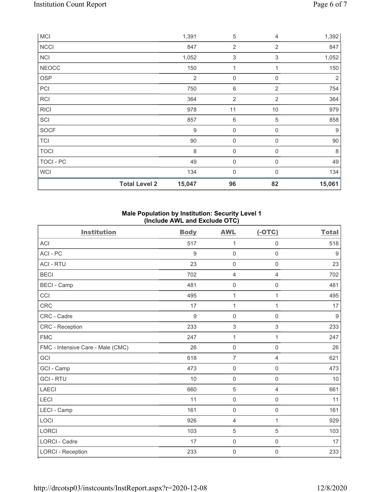|              | <b>Total Level 2</b> | 15,047           | 96               | 82             | 15,061           |
|--------------|----------------------|------------------|------------------|----------------|------------------|
| <b>WCI</b>   |                      | 134              | $\mathbf 0$      | $\mathbf{0}$   | 134              |
| TOCI - PC    |                      | 49               | $\mathbf 0$      | $\mathbf 0$    | 49               |
| <b>TOCI</b>  |                      | 8                | $\mathbf 0$      | 0              | $\,8\,$          |
| <b>TCI</b>   |                      | 90               | 0                | 0              | $90\,$           |
| SOCF         |                      | $\boldsymbol{9}$ | 0                | 0              | $\boldsymbol{9}$ |
| SCI          |                      | 857              | 6                | $\,$ 5 $\,$    | 858              |
| <b>RICI</b>  |                      | 978              | 11               | 10             | 979              |
| <b>RCI</b>   |                      | 364              | $\sqrt{2}$       | $\overline{2}$ | 364              |
| PCI          |                      | 750              | 6                | $\overline{2}$ | 754              |
| <b>OSP</b>   |                      | $\overline{2}$   | $\boldsymbol{0}$ | $\mathbf 0$    | $\overline{2}$   |
| <b>NEOCC</b> |                      | 150              | 1                | 1              | 150              |
| NCI          |                      | 1,052            | $\sqrt{3}$       | $\mathsf 3$    | 1,052            |
| <b>NCCI</b>  |                      | 847              | $\overline{2}$   | $\overline{2}$ | 847              |
| <b>MCI</b>   |                      | 1,391            | 5                | 4              | 1,392            |

# Male Population by Institution: Security Level 1 (Include AWL and Exclude OTC)

| <b>Institution</b>                | <b>Body</b> | <b>AWL</b>          | $(-OTC)$            | <b>Total</b>     |
|-----------------------------------|-------------|---------------------|---------------------|------------------|
| ACI                               | 517         | $\mathbf{1}$        | $\boldsymbol{0}$    | 518              |
| ACI-PC                            | 9           | $\mathbf 0$         | $\mathbf 0$         | 9                |
| <b>ACI - RTU</b>                  | 23          | $\mathbf 0$         | $\mathsf{O}\xspace$ | 23               |
| <b>BECI</b>                       | 702         | $\overline{4}$      | $\overline{4}$      | 702              |
| <b>BECI - Camp</b>                | 481         | $\mathbf 0$         | $\mathsf{O}\xspace$ | 481              |
| CCI                               | 495         | $\mathbf{1}$        | 1                   | 495              |
| <b>CRC</b>                        | 17          | 1                   | 1                   | 17               |
| CRC - Cadre                       | $9\,$       | $\mathsf{O}\xspace$ | $\mathsf{O}\xspace$ | $\boldsymbol{9}$ |
| <b>CRC</b> - Reception            | 233         | $\mathfrak{S}$      | 3                   | 233              |
| <b>FMC</b>                        | 247         | $\mathbf{1}$        | 1                   | 247              |
| FMC - Intensive Care - Male (CMC) | 26          | $\mathbf 0$         | $\mathsf{O}\xspace$ | 26               |
| GCI                               | 618         | $\overline{7}$      | 4                   | 621              |
| GCI - Camp                        | 473         | $\mathbf 0$         | $\boldsymbol{0}$    | 473              |
| <b>GCI-RTU</b>                    | 10          | $\mathbf 0$         | $\mathsf 0$         | 10               |
| <b>LAECI</b>                      | 660         | $\sqrt{5}$          | $\overline{4}$      | 661              |
| LECI                              | 11          | $\mathsf{O}\xspace$ | $\mathbf 0$         | 11               |
| LECI - Camp                       | 161         | $\mathbf 0$         | $\mathsf{O}\xspace$ | 161              |
| LOCI                              | 926         | 4                   | 1                   | 929              |
| <b>LORCI</b>                      | 103         | 5                   | 5                   | 103              |
| <b>LORCI - Cadre</b>              | 17          | $\mathsf{O}\xspace$ | $\mathsf 0$         | 17               |
| <b>LORCI - Reception</b>          | 233         | $\mathsf{O}\xspace$ | 0                   | 233              |